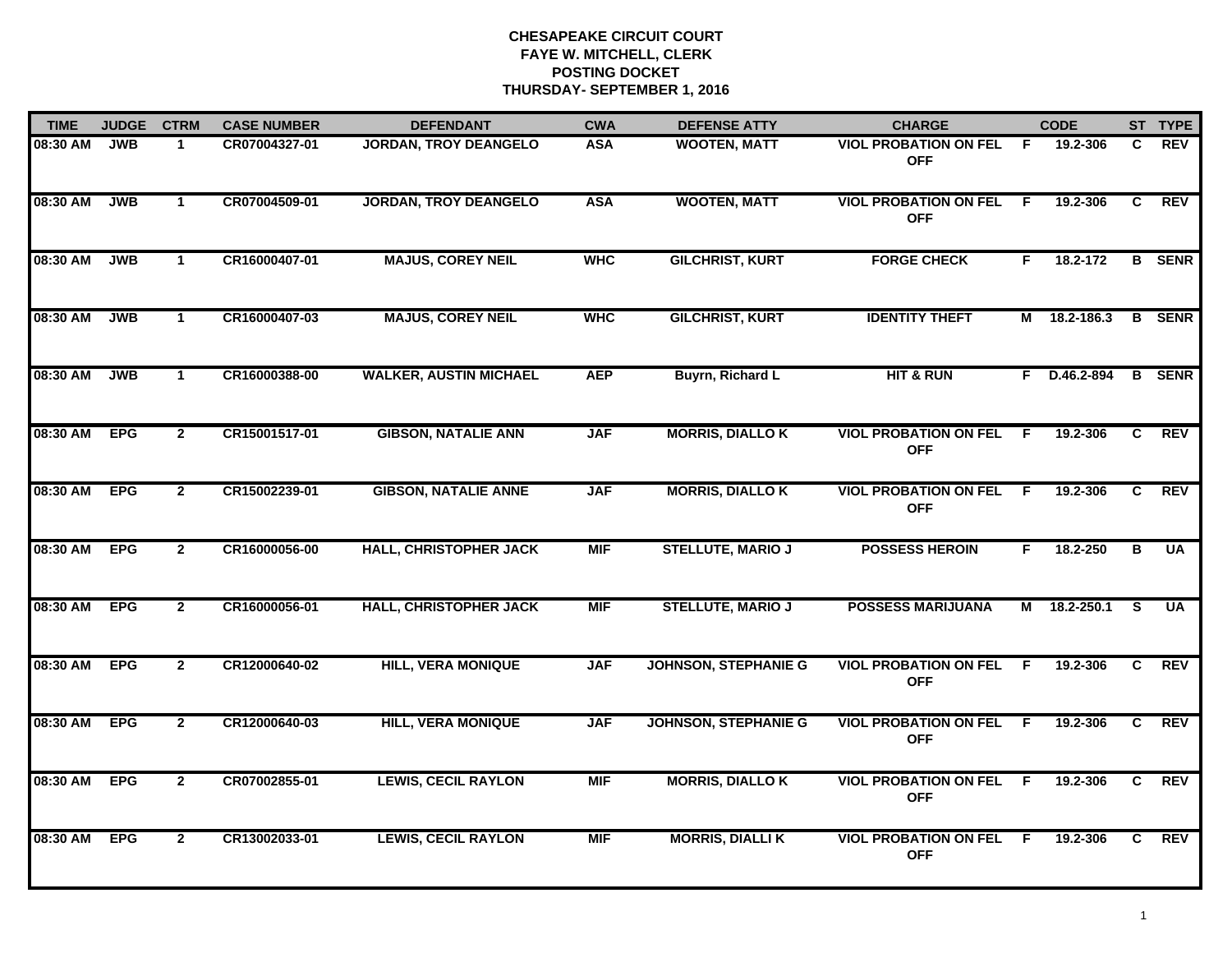| <b>TIME</b> | <b>JUDGE</b> | <b>CTRM</b>    | <b>CASE NUMBER</b> | <b>DEFENDANT</b>              | <b>CWA</b> | <b>DEFENSE ATTY</b>         | <b>CHARGE</b>                                |     | <b>CODE</b> |    | ST TYPE       |
|-------------|--------------|----------------|--------------------|-------------------------------|------------|-----------------------------|----------------------------------------------|-----|-------------|----|---------------|
| 08:30 AM    | <b>JWB</b>   | $\mathbf 1$    | CR07004327-01      | <b>JORDAN, TROY DEANGELO</b>  | <b>ASA</b> | <b>WOOTEN, MATT</b>         | <b>VIOL PROBATION ON FEL</b><br><b>OFF</b>   | - F | 19.2-306    | C. | <b>REV</b>    |
| 08:30 AM    | <b>JWB</b>   | $\mathbf{1}$   | CR07004509-01      | <b>JORDAN, TROY DEANGELO</b>  | <b>ASA</b> | <b>WOOTEN, MATT</b>         | <b>VIOL PROBATION ON FEL</b><br><b>OFF</b>   | F   | 19.2-306    | C  | <b>REV</b>    |
| 08:30 AM    | <b>JWB</b>   | $\mathbf{1}$   | CR16000407-01      | <b>MAJUS, COREY NEIL</b>      | <b>WHC</b> | <b>GILCHRIST, KURT</b>      | <b>FORGE CHECK</b>                           | F.  | 18.2-172    |    | <b>B</b> SENR |
| 08:30 AM    | <b>JWB</b>   | $\mathbf{1}$   | CR16000407-03      | <b>MAJUS, COREY NEIL</b>      | <b>WHC</b> | <b>GILCHRIST, KURT</b>      | <b>IDENTITY THEFT</b>                        | М   | 18.2-186.3  |    | <b>B</b> SENR |
| 08:30 AM    | <b>JWB</b>   | $\mathbf{1}$   | CR16000388-00      | <b>WALKER, AUSTIN MICHAEL</b> | <b>AEP</b> | <b>Buyrn, Richard L</b>     | <b>HIT &amp; RUN</b>                         | F.  | D.46.2-894  |    | <b>B</b> SENR |
| 08:30 AM    | <b>EPG</b>   | $\mathbf{2}$   | CR15001517-01      | <b>GIBSON, NATALIE ANN</b>    | <b>JAF</b> | <b>MORRIS, DIALLO K</b>     | <b>VIOL PROBATION ON FEL F</b><br><b>OFF</b> |     | 19.2-306    | C  | <b>REV</b>    |
| 08:30 AM    | <b>EPG</b>   | $\mathbf{2}$   | CR15002239-01      | <b>GIBSON, NATALIE ANNE</b>   | <b>JAF</b> | <b>MORRIS, DIALLO K</b>     | <b>VIOL PROBATION ON FEL F</b><br><b>OFF</b> |     | 19.2-306    | C  | <b>REV</b>    |
| 08:30 AM    | <b>EPG</b>   | $\overline{2}$ | CR16000056-00      | <b>HALL, CHRISTOPHER JACK</b> | <b>MIF</b> | <b>STELLUTE, MARIO J</b>    | <b>POSSESS HEROIN</b>                        | F.  | 18.2-250    | в  | <b>UA</b>     |
| 08:30 AM    | <b>EPG</b>   | $\overline{2}$ | CR16000056-01      | <b>HALL, CHRISTOPHER JACK</b> | <b>MIF</b> | <b>STELLUTE, MARIO J</b>    | <b>POSSESS MARIJUANA</b>                     | М   | 18.2-250.1  | S. | <b>UA</b>     |
| 08:30 AM    | <b>EPG</b>   | $\overline{2}$ | CR12000640-02      | <b>HILL, VERA MONIQUE</b>     | <b>JAF</b> | <b>JOHNSON, STEPHANIE G</b> | <b>VIOL PROBATION ON FEL</b><br><b>OFF</b>   | F   | 19.2-306    | C  | <b>REV</b>    |
| 08:30 AM    | <b>EPG</b>   | $\mathbf{2}$   | CR12000640-03      | <b>HILL, VERA MONIQUE</b>     | <b>JAF</b> | <b>JOHNSON, STEPHANIE G</b> | <b>VIOL PROBATION ON FEL F</b><br><b>OFF</b> |     | 19.2-306    | C  | <b>REV</b>    |
| 08:30 AM    | <b>EPG</b>   | $\overline{2}$ | CR07002855-01      | <b>LEWIS, CECIL RAYLON</b>    | <b>MIF</b> | <b>MORRIS, DIALLO K</b>     | <b>VIOL PROBATION ON FEL F</b><br><b>OFF</b> |     | 19.2-306    | C  | <b>REV</b>    |
| 08:30 AM    | <b>EPG</b>   | $\mathbf{2}$   | CR13002033-01      | <b>LEWIS, CECIL RAYLON</b>    | <b>MIF</b> | <b>MORRIS, DIALLIK</b>      | <b>VIOL PROBATION ON FEL</b><br><b>OFF</b>   | - F | 19.2-306    | C  | <b>REV</b>    |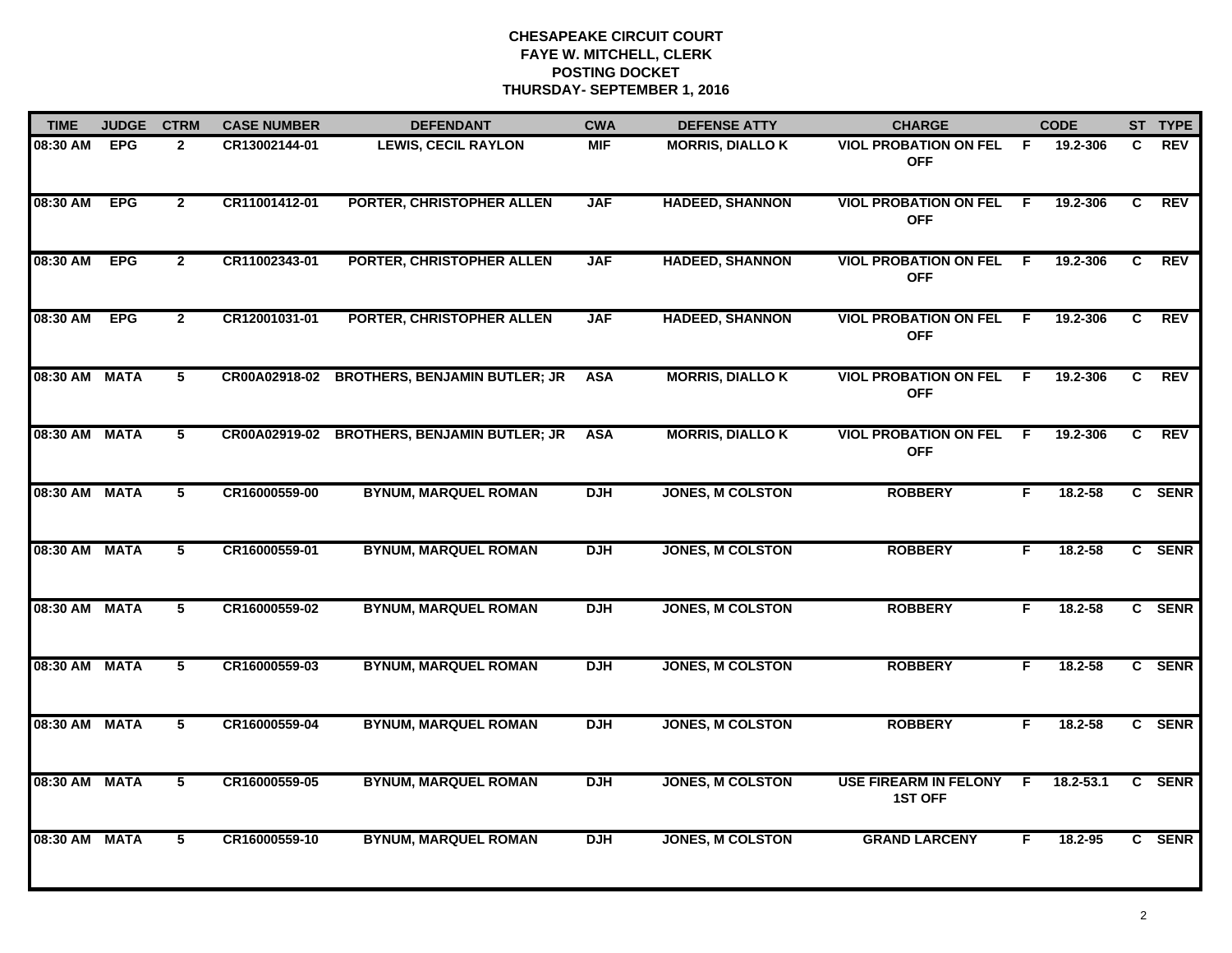| <b>TIME</b>   | <b>JUDGE</b> | <b>CTRM</b>     | <b>CASE NUMBER</b> | <b>DEFENDANT</b>                     | <b>CWA</b> | <b>DEFENSE ATTY</b>     | <b>CHARGE</b>                              |     | <b>CODE</b>   |    | ST TYPE     |
|---------------|--------------|-----------------|--------------------|--------------------------------------|------------|-------------------------|--------------------------------------------|-----|---------------|----|-------------|
| $08:30$ AM    | <b>EPG</b>   | $\mathbf{2}$    | CR13002144-01      | <b>LEWIS, CECIL RAYLON</b>           | <b>MIF</b> | <b>MORRIS, DIALLO K</b> | <b>VIOL PROBATION ON FEL</b><br><b>OFF</b> | -F  | 19.2-306      | C  | <b>REV</b>  |
| 08:30 AM      | <b>EPG</b>   | $\overline{2}$  | CR11001412-01      | PORTER, CHRISTOPHER ALLEN            | <b>JAF</b> | <b>HADEED, SHANNON</b>  | <b>VIOL PROBATION ON FEL</b><br><b>OFF</b> | -F  | 19.2-306      | C  | <b>REV</b>  |
| 08:30 AM      | <b>EPG</b>   | $\overline{2}$  | CR11002343-01      | PORTER, CHRISTOPHER ALLEN            | <b>JAF</b> | <b>HADEED, SHANNON</b>  | <b>VIOL PROBATION ON FEL</b><br><b>OFF</b> | -F  | 19.2-306      | C  | <b>REV</b>  |
| 08:30 AM      | <b>EPG</b>   | $\mathbf{2}$    | CR12001031-01      | PORTER, CHRISTOPHER ALLEN            | <b>JAF</b> | <b>HADEED, SHANNON</b>  | <b>VIOL PROBATION ON FEL</b><br><b>OFF</b> | E   | 19.2-306      | C  | <b>REV</b>  |
| 08:30 AM MATA |              | 5               | CR00A02918-02      | <b>BROTHERS, BENJAMIN BUTLER; JR</b> | <b>ASA</b> | <b>MORRIS, DIALLO K</b> | <b>VIOL PROBATION ON FEL</b><br><b>OFF</b> | -F. | 19.2-306      | C. | <b>REV</b>  |
| 08:30 AM MATA |              | 5               | CR00A02919-02      | <b>BROTHERS, BENJAMIN BUTLER; JR</b> | <b>ASA</b> | <b>MORRIS, DIALLO K</b> | <b>VIOL PROBATION ON FEL</b><br><b>OFF</b> | -F  | 19.2-306      | C  | <b>REV</b>  |
| 08:30 AM MATA |              | $5\overline{ }$ | CR16000559-00      | <b>BYNUM, MARQUEL ROMAN</b>          | <b>DJH</b> | <b>JONES, M COLSTON</b> | <b>ROBBERY</b>                             | F   | 18.2-58       |    | C SENR      |
| 08:30 AM MATA |              | $\overline{5}$  | CR16000559-01      | <b>BYNUM, MARQUEL ROMAN</b>          | <b>DJH</b> | <b>JONES, M COLSTON</b> | <b>ROBBERY</b>                             | F.  | 18.2-58       |    | C SENR      |
| 08:30 AM MATA |              | 5               | CR16000559-02      | <b>BYNUM, MARQUEL ROMAN</b>          | <b>DJH</b> | <b>JONES, M COLSTON</b> | <b>ROBBERY</b>                             | F   | $18.2 - 58$   |    | C SENR      |
| 08:30 AM MATA |              | 5               | CR16000559-03      | <b>BYNUM, MARQUEL ROMAN</b>          | <b>DJH</b> | <b>JONES, M COLSTON</b> | <b>ROBBERY</b>                             | F.  | $18.2 - 58$   |    | C SENR      |
| 08:30 AM MATA |              | 5               | CR16000559-04      | <b>BYNUM, MARQUEL ROMAN</b>          | <b>DJH</b> | <b>JONES, M COLSTON</b> | <b>ROBBERY</b>                             | F   | 18.2-58       |    | C SENR      |
| 08:30 AM MATA |              | $\overline{5}$  | CR16000559-05      | <b>BYNUM, MARQUEL ROMAN</b>          | <b>DJH</b> | <b>JONES, M COLSTON</b> | USE FIREARM IN FELONY F<br><b>1ST OFF</b>  |     | $18.2 - 53.1$ | C. | <b>SENR</b> |
| 08:30 AM      | <b>MATA</b>  | $\overline{5}$  | CR16000559-10      | <b>BYNUM, MARQUEL ROMAN</b>          | <b>DJH</b> | <b>JONES, M COLSTON</b> | <b>GRAND LARCENY</b>                       | F   | 18.2-95       |    | C SENR      |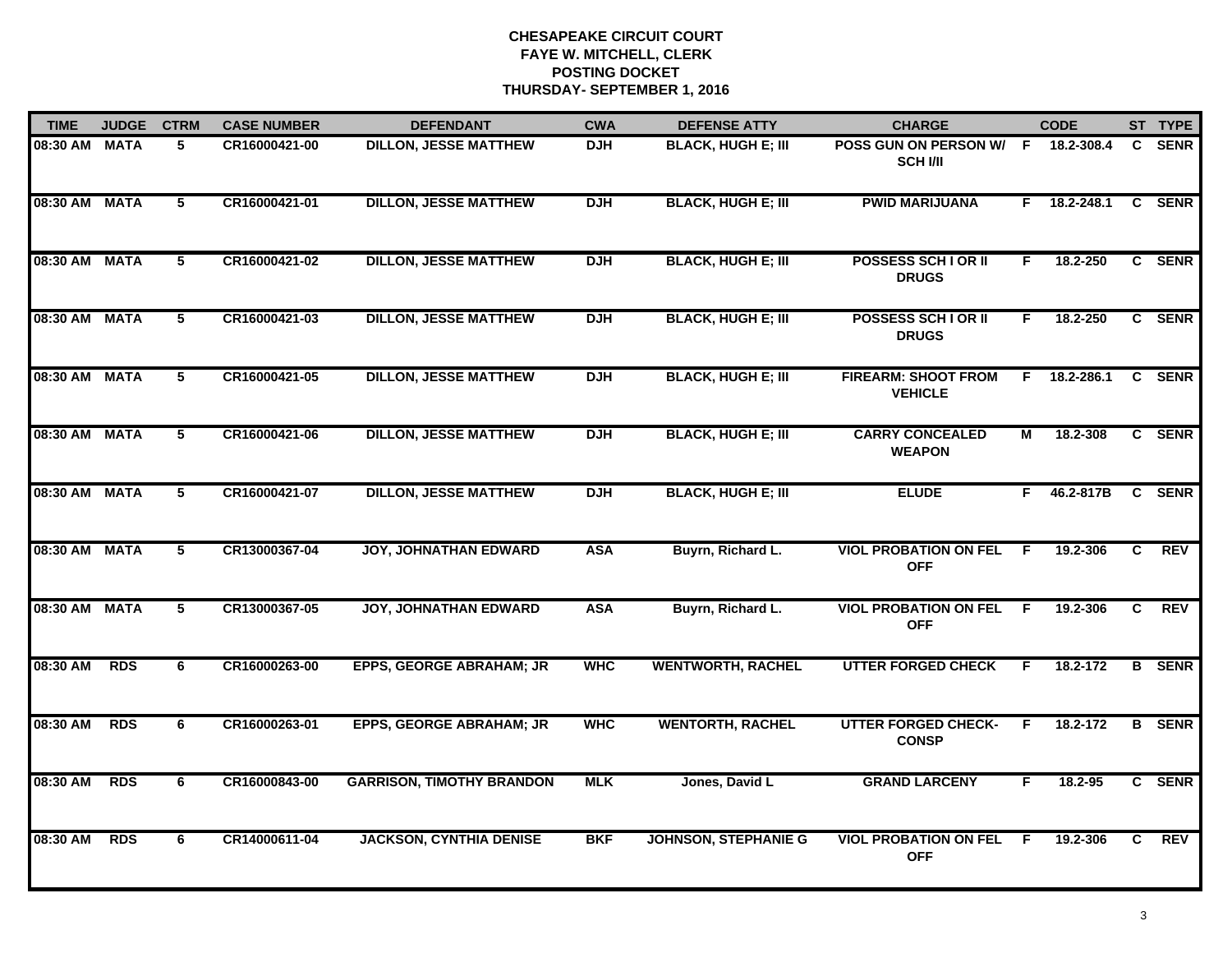| <b>TIME</b>   | <b>JUDGE</b> | <b>CTRM</b>    | <b>CASE NUMBER</b> | <b>DEFENDANT</b>                 | <b>CWA</b> | <b>DEFENSE ATTY</b>         | <b>CHARGE</b>                                |    | <b>CODE</b> |                | ST TYPE       |
|---------------|--------------|----------------|--------------------|----------------------------------|------------|-----------------------------|----------------------------------------------|----|-------------|----------------|---------------|
| 08:30 AM      | <b>MATA</b>  | 5              | CR16000421-00      | <b>DILLON, JESSE MATTHEW</b>     | <b>DJH</b> | <b>BLACK, HUGH E; III</b>   | POSS GUN ON PERSON W/ F<br><b>SCH VII</b>    |    | 18.2-308.4  | C.             | <b>SENR</b>   |
| 08:30 AM      | <b>MATA</b>  | $\overline{5}$ | CR16000421-01      | <b>DILLON, JESSE MATTHEW</b>     | <b>DJH</b> | <b>BLACK, HUGH E; III</b>   | <b>PWID MARIJUANA</b>                        | F. | 18.2-248.1  |                | C SENR        |
| 08:30 AM      | <b>MATA</b>  | $\overline{5}$ | CR16000421-02      | <b>DILLON, JESSE MATTHEW</b>     | <b>DJH</b> | <b>BLACK, HUGH E; III</b>   | <b>POSSESS SCHIOR II</b><br><b>DRUGS</b>     | F. | 18.2-250    |                | C SENR        |
| 08:30 AM      | <b>MATA</b>  | 5              | CR16000421-03      | <b>DILLON, JESSE MATTHEW</b>     | <b>DJH</b> | <b>BLACK, HUGH E; III</b>   | <b>POSSESS SCH I OR II</b><br><b>DRUGS</b>   | F. | 18.2-250    |                | C SENR        |
| 08:30 AM      | <b>MATA</b>  | 5              | CR16000421-05      | <b>DILLON, JESSE MATTHEW</b>     | <b>DJH</b> | <b>BLACK, HUGH E; III</b>   | <b>FIREARM: SHOOT FROM</b><br><b>VEHICLE</b> | F. | 18.2-286.1  |                | C SENR        |
| 08:30 AM MATA |              | 5              | CR16000421-06      | <b>DILLON, JESSE MATTHEW</b>     | <b>DJH</b> | <b>BLACK, HUGH E; III</b>   | <b>CARRY CONCEALED</b><br><b>WEAPON</b>      | М  | 18.2-308    |                | C SENR        |
| 08:30 AM MATA |              | 5              | CR16000421-07      | <b>DILLON, JESSE MATTHEW</b>     | <b>DJH</b> | <b>BLACK, HUGH E; III</b>   | <b>ELUDE</b>                                 | F. | 46.2-817B   | $\mathbf{c}$   | <b>SENR</b>   |
| 08:30 AM      | <b>MATA</b>  | $\overline{5}$ | CR13000367-04      | <b>JOY, JOHNATHAN EDWARD</b>     | <b>ASA</b> | Buyrn, Richard L.           | <b>VIOL PROBATION ON FEL</b><br><b>OFF</b>   | F  | 19.2-306    | $\overline{c}$ | REV           |
| 08:30 AM      | <b>MATA</b>  | 5              | CR13000367-05      | <b>JOY, JOHNATHAN EDWARD</b>     | <b>ASA</b> | Buyrn, Richard L.           | <b>VIOL PROBATION ON FEL</b><br><b>OFF</b>   | E  | 19.2-306    | C.             | <b>REV</b>    |
| 08:30 AM      | <b>RDS</b>   | 6              | CR16000263-00      | <b>EPPS, GEORGE ABRAHAM; JR</b>  | <b>WHC</b> | <b>WENTWORTH, RACHEL</b>    | <b>UTTER FORGED CHECK</b>                    | F. | 18.2-172    |                | <b>B</b> SENR |
| 08:30 AM      | <b>RDS</b>   | 6              | CR16000263-01      | <b>EPPS, GEORGE ABRAHAM; JR</b>  | <b>WHC</b> | <b>WENTORTH, RACHEL</b>     | <b>UTTER FORGED CHECK-</b><br><b>CONSP</b>   | F  | 18.2-172    |                | <b>B</b> SENR |
| 08:30 AM      | <b>RDS</b>   | 6              | CR16000843-00      | <b>GARRISON, TIMOTHY BRANDON</b> | <b>MLK</b> | Jones, David L              | <b>GRAND LARCENY</b>                         | F. | 18.2-95     |                | C SENR        |
| 08:30 AM      | <b>RDS</b>   | 6              | CR14000611-04      | <b>JACKSON, CYNTHIA DENISE</b>   | <b>BKF</b> | <b>JOHNSON, STEPHANIE G</b> | <b>VIOL PROBATION ON FEL</b><br><b>OFF</b>   | F. | 19.2-306    | C.             | REV           |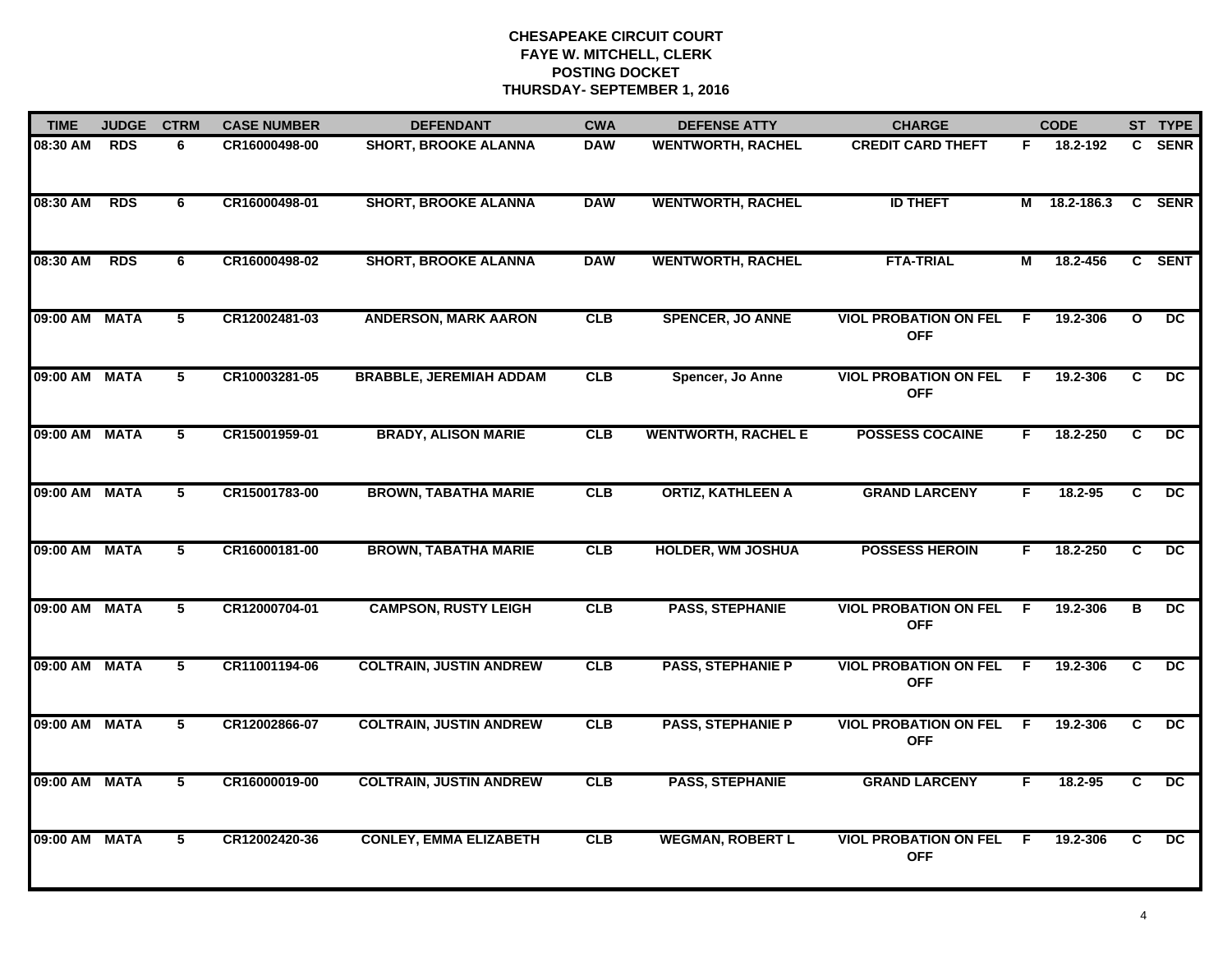| <b>TIME</b>   | <b>JUDGE</b> | <b>CTRM</b>     | <b>CASE NUMBER</b> | <b>DEFENDANT</b>               | <b>CWA</b> | <b>DEFENSE ATTY</b>        | <b>CHARGE</b>                              |    | <b>CODE</b>  |                | ST TYPE         |
|---------------|--------------|-----------------|--------------------|--------------------------------|------------|----------------------------|--------------------------------------------|----|--------------|----------------|-----------------|
| 08:30 AM      | <b>RDS</b>   | 6               | CR16000498-00      | <b>SHORT, BROOKE ALANNA</b>    | <b>DAW</b> | <b>WENTWORTH, RACHEL</b>   | <b>CREDIT CARD THEFT</b>                   | F. | 18.2-192     | C.             | <b>SENR</b>     |
| 08:30 AM      | <b>RDS</b>   | 6               | CR16000498-01      | <b>SHORT, BROOKE ALANNA</b>    | <b>DAW</b> | <b>WENTWORTH, RACHEL</b>   | <b>ID THEFT</b>                            |    | M 18.2-186.3 |                | C SENR          |
| 08:30 AM      | <b>RDS</b>   | 6               | CR16000498-02      | <b>SHORT, BROOKE ALANNA</b>    | <b>DAW</b> | <b>WENTWORTH, RACHEL</b>   | <b>FTA-TRIAL</b>                           | М  | 18.2-456     |                | C SENT          |
| 09:00 AM      | <b>MATA</b>  | 5               | CR12002481-03      | <b>ANDERSON, MARK AARON</b>    | CLB        | <b>SPENCER, JO ANNE</b>    | <b>VIOL PROBATION ON FEL</b><br><b>OFF</b> | -F | 19.2-306     | $\mathbf{o}$   | DC              |
| 09:00 AM      | <b>MATA</b>  | 5               | CR10003281-05      | <b>BRABBLE, JEREMIAH ADDAM</b> | CLB        | Spencer, Jo Anne           | <b>VIOL PROBATION ON FEL</b><br><b>OFF</b> | F  | 19.2-306     | C              | $\overline{DC}$ |
| 09:00 AM MATA |              | 5               | CR15001959-01      | <b>BRADY, ALISON MARIE</b>     | CLB        | <b>WENTWORTH, RACHEL E</b> | <b>POSSESS COCAINE</b>                     | F. | 18.2-250     | C              | $\overline{DC}$ |
| 09:00 AM      | <b>MATA</b>  | $5\phantom{.0}$ | CR15001783-00      | <b>BROWN, TABATHA MARIE</b>    | CLB        | <b>ORTIZ, KATHLEEN A</b>   | <b>GRAND LARCENY</b>                       | F. | 18.2-95      | C              | DC              |
| 09:00 AM      | <b>MATA</b>  | 5               | CR16000181-00      | <b>BROWN, TABATHA MARIE</b>    | <b>CLB</b> | <b>HOLDER, WM JOSHUA</b>   | <b>POSSESS HEROIN</b>                      | F  | 18.2-250     | C              | DC              |
| 09:00 AM      | <b>MATA</b>  | 5               | CR12000704-01      | <b>CAMPSON, RUSTY LEIGH</b>    | CLB        | <b>PASS, STEPHANIE</b>     | <b>VIOL PROBATION ON FEL</b><br><b>OFF</b> | -F | 19.2-306     | в              | DC.             |
| 09:00 AM      | <b>MATA</b>  | 5               | CR11001194-06      | <b>COLTRAIN, JUSTIN ANDREW</b> | CLB        | <b>PASS, STEPHANIE P</b>   | <b>VIOL PROBATION ON FEL</b><br><b>OFF</b> | F. | 19.2-306     | C              | $\overline{DC}$ |
| 09:00 AM MATA |              | 5               | CR12002866-07      | <b>COLTRAIN, JUSTIN ANDREW</b> | <b>CLB</b> | <b>PASS, STEPHANIE P</b>   | <b>VIOL PROBATION ON FEL</b><br><b>OFF</b> | -F | 19.2-306     | C              | DC              |
| 09:00 AM      | <b>MATA</b>  | $\overline{5}$  | CR16000019-00      | <b>COLTRAIN, JUSTIN ANDREW</b> | CLB        | <b>PASS, STEPHANIE</b>     | <b>GRAND LARCENY</b>                       | F. | 18.2-95      | $\overline{c}$ | DC              |
| 09:00 AM      | <b>MATA</b>  | 5               | CR12002420-36      | <b>CONLEY, EMMA ELIZABETH</b>  | <b>CLB</b> | <b>WEGMAN, ROBERT L</b>    | <b>VIOL PROBATION ON FEL</b><br><b>OFF</b> | -F | 19.2-306     | C.             | DC.             |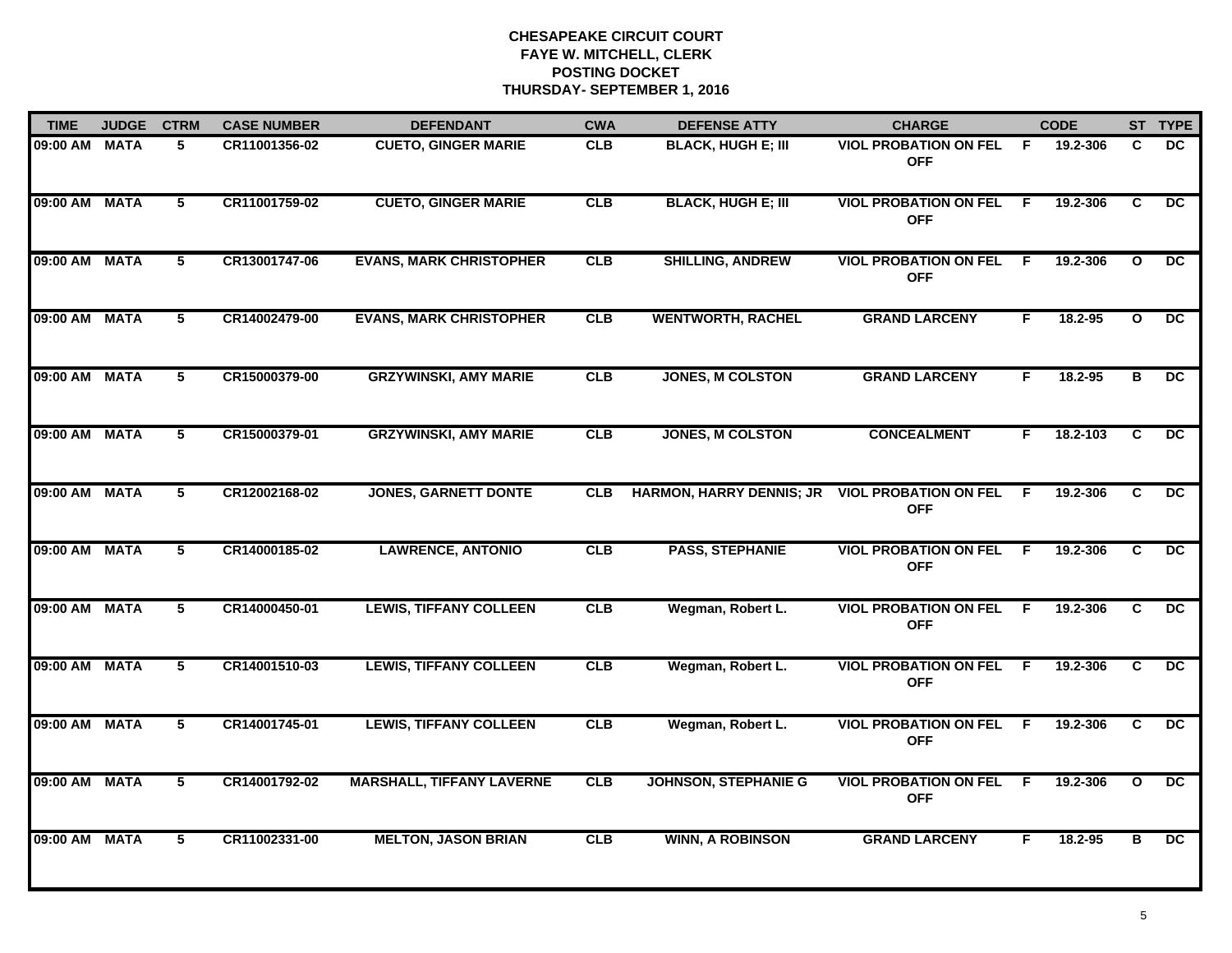| <b>TIME</b>   | <b>JUDGE</b> | <b>CTRM</b>    | <b>CASE NUMBER</b> | <b>DEFENDANT</b>                 | <b>CWA</b> | <b>DEFENSE ATTY</b>             | <b>CHARGE</b>                                |                | <b>CODE</b> |                | ST TYPE         |
|---------------|--------------|----------------|--------------------|----------------------------------|------------|---------------------------------|----------------------------------------------|----------------|-------------|----------------|-----------------|
| 09:00 AM      | <b>MATA</b>  | 5              | CR11001356-02      | <b>CUETO, GINGER MARIE</b>       | <b>CLB</b> | <b>BLACK, HUGH E; III</b>       | <b>VIOL PROBATION ON FEL</b><br><b>OFF</b>   | - F            | 19.2-306    | C.             | <b>DC</b>       |
| 09:00 AM      | <b>MATA</b>  | 5              | CR11001759-02      | <b>CUETO, GINGER MARIE</b>       | CLB        | <b>BLACK, HUGH E; III</b>       | <b>VIOL PROBATION ON FEL</b><br><b>OFF</b>   | - F            | 19.2-306    | C              | DC              |
| 09:00 AM      | <b>MATA</b>  | $\overline{5}$ | CR13001747-06      | <b>EVANS, MARK CHRISTOPHER</b>   | CLB        | <b>SHILLING, ANDREW</b>         | <b>VIOL PROBATION ON FEL</b><br><b>OFF</b>   | F.             | 19.2-306    | $\mathbf{o}$   | $\overline{DC}$ |
| 09:00 AM      | <b>MATA</b>  | 5              | CR14002479-00      | <b>EVANS, MARK CHRISTOPHER</b>   | CLB        | <b>WENTWORTH, RACHEL</b>        | <b>GRAND LARCENY</b>                         | F.             | 18.2-95     | $\mathbf{o}$   | <b>DC</b>       |
| 09:00 AM      | <b>MATA</b>  | 5              | CR15000379-00      | <b>GRZYWINSKI, AMY MARIE</b>     | <b>CLB</b> | JONES, M COLSTON                | <b>GRAND LARCENY</b>                         | F.             | 18.2-95     | в              | DC              |
| 09:00 AM MATA |              | $\overline{5}$ | CR15000379-01      | <b>GRZYWINSKI, AMY MARIE</b>     | CLB        | <b>JONES, M COLSTON</b>         | <b>CONCEALMENT</b>                           | F.             | 18.2-103    | C              | $\overline{DC}$ |
| 09:00 AM MATA |              | 5              | CR12002168-02      | <b>JONES, GARNETT DONTE</b>      | <b>CLB</b> | <b>HARMON, HARRY DENNIS; JR</b> | <b>VIOL PROBATION ON FEL F</b><br><b>OFF</b> |                | 19.2-306    | C              | DC              |
| 09:00 AM      | <b>MATA</b>  | $\overline{5}$ | CR14000185-02      | <b>LAWRENCE, ANTONIO</b>         | CLB        | <b>PASS, STEPHANIE</b>          | <b>VIOL PROBATION ON FEL</b><br><b>OFF</b>   | $\overline{F}$ | 19.2-306    | $\overline{c}$ | $\overline{DC}$ |
| 09:00 AM      | <b>MATA</b>  | 5              | CR14000450-01      | <b>LEWIS, TIFFANY COLLEEN</b>    | CLB        | Wegman, Robert L.               | <b>VIOL PROBATION ON FEL</b><br><b>OFF</b>   | E              | 19.2-306    | C.             | <b>DC</b>       |
| 09:00 AM      | <b>MATA</b>  | 5              | CR14001510-03      | <b>LEWIS, TIFFANY COLLEEN</b>    | <b>CLB</b> | Wegman, Robert L.               | <b>VIOL PROBATION ON FEL</b><br><b>OFF</b>   | -F             | 19.2-306    | C              | <b>DC</b>       |
| 09:00 AM MATA |              | 5              | CR14001745-01      | <b>LEWIS, TIFFANY COLLEEN</b>    | <b>CLB</b> | Wegman, Robert L.               | <b>VIOL PROBATION ON FEL</b><br><b>OFF</b>   | -F             | 19.2-306    | C              | DC              |
| 09:00 AM MATA |              | 5              | CR14001792-02      | <b>MARSHALL, TIFFANY LAVERNE</b> | CLB        | <b>JOHNSON, STEPHANIE G</b>     | <b>VIOL PROBATION ON FEL F</b><br><b>OFF</b> |                | 19.2-306    | $\mathbf{o}$   | DC.             |
| 09:00 AM      | <b>MATA</b>  | $\overline{5}$ | CR11002331-00      | <b>MELTON, JASON BRIAN</b>       | CLB        | <b>WINN, A ROBINSON</b>         | <b>GRAND LARCENY</b>                         | F.             | 18.2-95     | $\overline{B}$ | $\overline{DC}$ |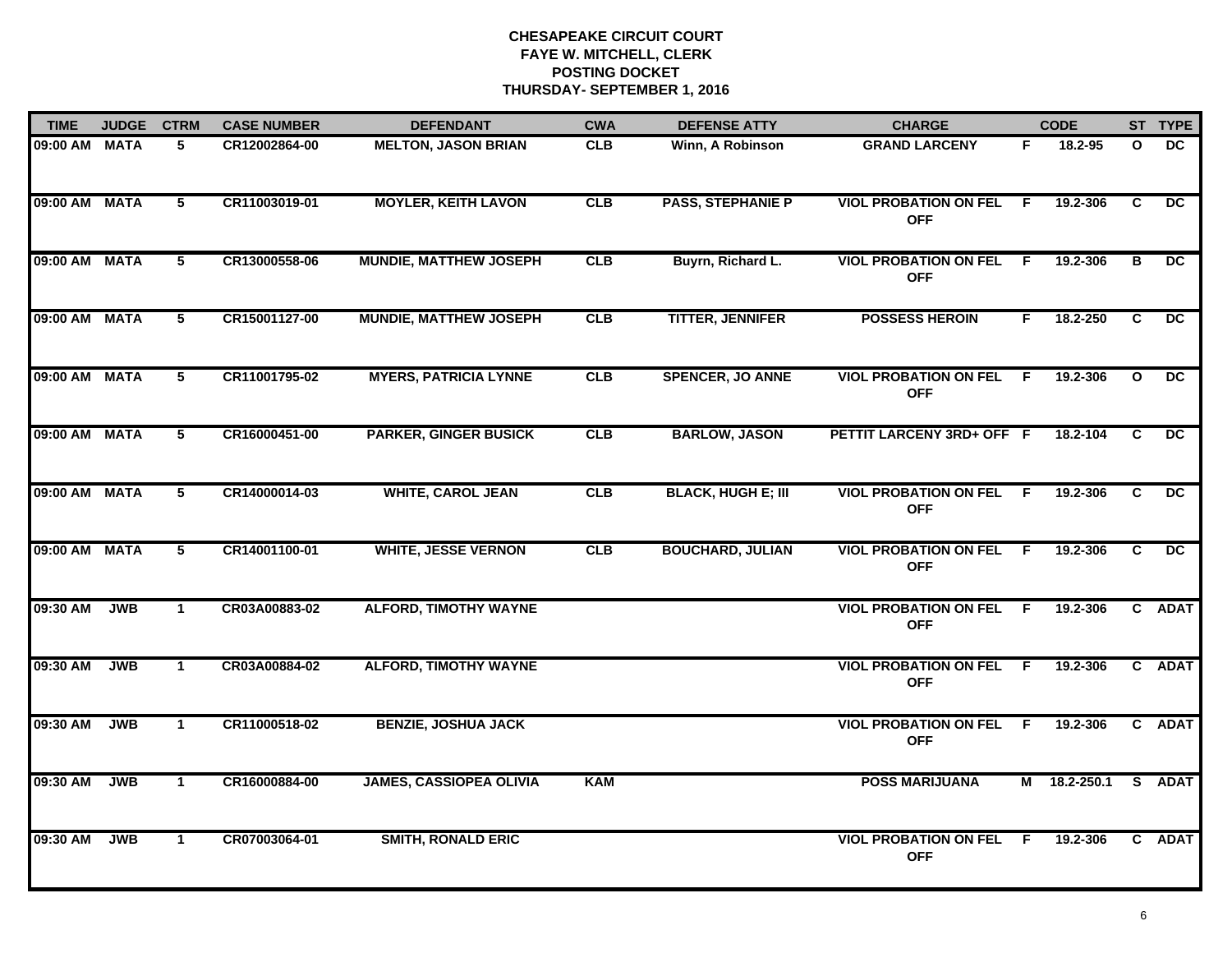| <b>TIME</b>   | <b>JUDGE</b> | <b>CTRM</b>    | <b>CASE NUMBER</b> | <b>DEFENDANT</b>               | <b>CWA</b> | <b>DEFENSE ATTY</b>       | <b>CHARGE</b>                                |     | <b>CODE</b>  |              | ST TYPE         |
|---------------|--------------|----------------|--------------------|--------------------------------|------------|---------------------------|----------------------------------------------|-----|--------------|--------------|-----------------|
| 09:00 AM MATA |              | 5              | CR12002864-00      | <b>MELTON, JASON BRIAN</b>     | <b>CLB</b> | Winn, A Robinson          | <b>GRAND LARCENY</b>                         | F.  | 18.2-95      | O            | DC              |
| 09:00 AM MATA |              | $5^{\circ}$    | CR11003019-01      | <b>MOYLER, KEITH LAVON</b>     | CLB        | <b>PASS, STEPHANIE P</b>  | <b>VIOL PROBATION ON FEL</b><br><b>OFF</b>   | - F | 19.2-306     | C            | DC.             |
| 09:00 AM MATA |              | $5^{\circ}$    | CR13000558-06      | <b>MUNDIE, MATTHEW JOSEPH</b>  | <b>CLB</b> | Buyrn, Richard L.         | <b>VIOL PROBATION ON FEL F</b><br><b>OFF</b> |     | 19.2-306     | В            | DC.             |
| 09:00 AM MATA |              | 5              | CR15001127-00      | <b>MUNDIE, MATTHEW JOSEPH</b>  | CLB        | <b>TITTER, JENNIFER</b>   | <b>POSSESS HEROIN</b>                        | F   | 18.2-250     | C.           | DC.             |
| 09:00 AM MATA |              | 5              | CR11001795-02      | <b>MYERS, PATRICIA LYNNE</b>   | CLB        | <b>SPENCER, JO ANNE</b>   | <b>VIOL PROBATION ON FEL</b><br><b>OFF</b>   | F.  | 19.2-306     | $\mathbf{o}$ | $\overline{DC}$ |
| 09:00 AM MATA |              | 5              | CR16000451-00      | <b>PARKER, GINGER BUSICK</b>   | CLB        | <b>BARLOW, JASON</b>      | PETTIT LARCENY 3RD+ OFF F                    |     | 18.2-104     | C            | DC              |
| 09:00 AM MATA |              | $\overline{5}$ | CR14000014-03      | <b>WHITE, CAROL JEAN</b>       | CLB        | <b>BLACK, HUGH E; III</b> | <b>VIOL PROBATION ON FEL</b><br><b>OFF</b>   | - F | 19.2-306     | C            | $\overline{DC}$ |
| 09:00 AM MATA |              | 5              | CR14001100-01      | <b>WHITE, JESSE VERNON</b>     | CLB        | <b>BOUCHARD, JULIAN</b>   | <b>VIOL PROBATION ON FEL</b><br><b>OFF</b>   | - F | 19.2-306     | C            | DC              |
| 09:30 AM      | <b>JWB</b>   | -1             | CR03A00883-02      | <b>ALFORD, TIMOTHY WAYNE</b>   |            |                           | <b>VIOL PROBATION ON FEL</b><br><b>OFF</b>   | - F | 19.2-306     |              | C ADAT          |
| 09:30 AM      | <b>JWB</b>   | $\mathbf 1$    | CR03A00884-02      | <b>ALFORD, TIMOTHY WAYNE</b>   |            |                           | <b>VIOL PROBATION ON FEL</b><br><b>OFF</b>   | -F  | 19.2-306     |              | C ADAT          |
| 09:30 AM      | <b>JWB</b>   | $\mathbf{1}$   | CR11000518-02      | <b>BENZIE, JOSHUA JACK</b>     |            |                           | <b>VIOL PROBATION ON FEL</b><br><b>OFF</b>   | E   | 19.2-306     | $\mathbf{C}$ | <b>ADAT</b>     |
| 09:30 AM      | <b>JWB</b>   | $\mathbf{1}$   | CR16000884-00      | <b>JAMES, CASSIOPEA OLIVIA</b> | <b>KAM</b> |                           | <b>POSS MARIJUANA</b>                        |     | M 18.2-250.1 | S.           | <b>ADAT</b>     |
| 09:30 AM      | <b>JWB</b>   | $\mathbf{1}$   | CR07003064-01      | <b>SMITH, RONALD ERIC</b>      |            |                           | <b>VIOL PROBATION ON FEL</b><br><b>OFF</b>   | -F  | 19.2-306     |              | C ADAT          |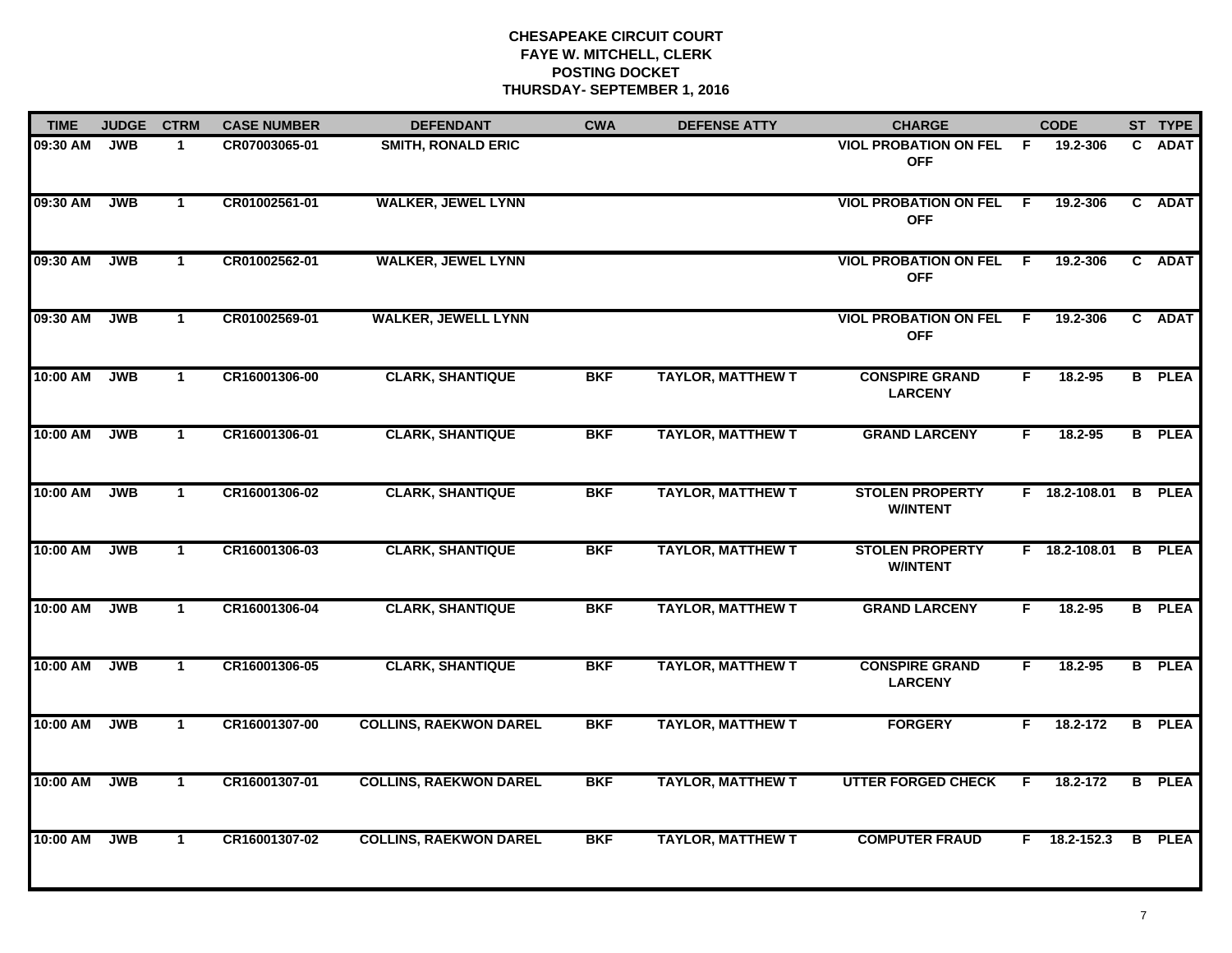| <b>TIME</b> | <b>JUDGE</b> | <b>CTRM</b>    | <b>CASE NUMBER</b> | <b>DEFENDANT</b>              | <b>CWA</b> | <b>DEFENSE ATTY</b>      | <b>CHARGE</b>                                |     | <b>CODE</b>     |    | ST TYPE       |
|-------------|--------------|----------------|--------------------|-------------------------------|------------|--------------------------|----------------------------------------------|-----|-----------------|----|---------------|
| 09:30 AM    | <b>JWB</b>   | $\mathbf 1$    | CR07003065-01      | <b>SMITH, RONALD ERIC</b>     |            |                          | <b>VIOL PROBATION ON FEL</b><br><b>OFF</b>   | F   | 19.2-306        | C. | <b>ADAT</b>   |
| 09:30 AM    | <b>JWB</b>   | $\mathbf{1}$   | CR01002561-01      | <b>WALKER, JEWEL LYNN</b>     |            |                          | <b>VIOL PROBATION ON FEL</b><br><b>OFF</b>   | F.  | 19.2-306        |    | C ADAT        |
| 09:30 AM    | <b>JWB</b>   | $\mathbf{1}$   | CR01002562-01      | <b>WALKER, JEWEL LYNN</b>     |            |                          | <b>VIOL PROBATION ON FEL F</b><br><b>OFF</b> |     | 19.2-306        |    | C ADAT        |
| 09:30 AM    | <b>JWB</b>   | $\mathbf 1$    | CR01002569-01      | <b>WALKER, JEWELL LYNN</b>    |            |                          | <b>VIOL PROBATION ON FEL</b><br><b>OFF</b>   | - F | 19.2-306        |    | C ADAT        |
| 10:00 AM    | <b>JWB</b>   | $\mathbf{1}$   | CR16001306-00      | <b>CLARK, SHANTIQUE</b>       | <b>BKF</b> | <b>TAYLOR, MATTHEW T</b> | <b>CONSPIRE GRAND</b><br><b>LARCENY</b>      | F.  | $18.2 - 95$     |    | <b>B</b> PLEA |
| 10:00 AM    | <b>JWB</b>   | $\mathbf{1}$   | CR16001306-01      | <b>CLARK, SHANTIQUE</b>       | <b>BKF</b> | <b>TAYLOR, MATTHEW T</b> | <b>GRAND LARCENY</b>                         | F.  | 18.2-95         |    | <b>B</b> PLEA |
| 10:00 AM    | <b>JWB</b>   | $\overline{1}$ | CR16001306-02      | <b>CLARK, SHANTIQUE</b>       | <b>BKF</b> | <b>TAYLOR, MATTHEW T</b> | <b>STOLEN PROPERTY</b><br><b>W/INTENT</b>    |     | $F$ 18.2-108.01 |    | <b>B</b> PLEA |
| 10:00 AM    | <b>JWB</b>   | $\mathbf{1}$   | CR16001306-03      | <b>CLARK, SHANTIQUE</b>       | <b>BKF</b> | <b>TAYLOR, MATTHEW T</b> | <b>STOLEN PROPERTY</b><br><b>W/INTENT</b>    |     | $F$ 18.2-108.01 |    | <b>B</b> PLEA |
| 10:00 AM    | <b>JWB</b>   | $\mathbf 1$    | CR16001306-04      | <b>CLARK, SHANTIQUE</b>       | <b>BKF</b> | <b>TAYLOR, MATTHEW T</b> | <b>GRAND LARCENY</b>                         | F   | $18.2 - 95$     |    | <b>B</b> PLEA |
| 10:00 AM    | <b>JWB</b>   | $\mathbf{1}$   | CR16001306-05      | <b>CLARK, SHANTIQUE</b>       | <b>BKF</b> | <b>TAYLOR, MATTHEW T</b> | <b>CONSPIRE GRAND</b><br><b>LARCENY</b>      | F.  | $18.2 - 95$     |    | <b>B</b> PLEA |
| 10:00 AM    | <b>JWB</b>   | $\mathbf{1}$   | CR16001307-00      | <b>COLLINS, RAEKWON DAREL</b> | <b>BKF</b> | <b>TAYLOR, MATTHEW T</b> | <b>FORGERY</b>                               | F.  | 18.2-172        |    | <b>B</b> PLEA |
| 10:00 AM    | <b>JWB</b>   | $\overline{1}$ | CR16001307-01      | <b>COLLINS, RAEKWON DAREL</b> | <b>BKF</b> | <b>TAYLOR, MATTHEW T</b> | <b>UTTER FORGED CHECK</b>                    | F.  | 18.2-172        |    | <b>B</b> PLEA |
| 10:00 AM    | <b>JWB</b>   | $\mathbf{1}$   | CR16001307-02      | <b>COLLINS, RAEKWON DAREL</b> | <b>BKF</b> | <b>TAYLOR, MATTHEW T</b> | <b>COMPUTER FRAUD</b>                        |     | F 18.2-152.3    |    | <b>B</b> PLEA |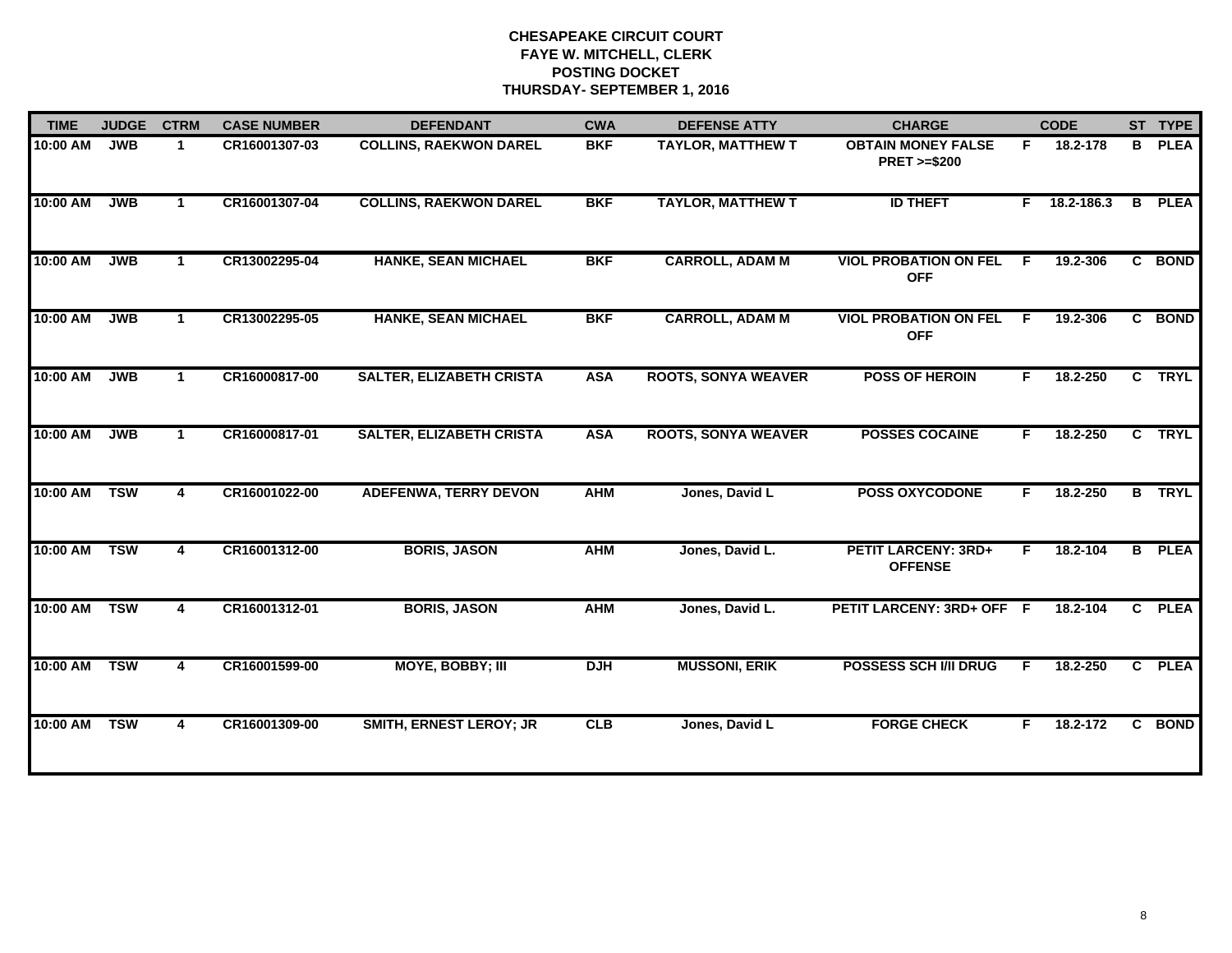| <b>TIME</b> | <b>JUDGE</b> | <b>CTRM</b>          | <b>CASE NUMBER</b> | <b>DEFENDANT</b>                | <b>CWA</b> | <b>DEFENSE ATTY</b>        | <b>CHARGE</b>                                       |    | <b>CODE</b>    |                | ST TYPE       |
|-------------|--------------|----------------------|--------------------|---------------------------------|------------|----------------------------|-----------------------------------------------------|----|----------------|----------------|---------------|
| 10:00 AM    | <b>JWB</b>   | $\blacktriangleleft$ | CR16001307-03      | <b>COLLINS, RAEKWON DAREL</b>   | <b>BKF</b> | <b>TAYLOR, MATTHEW T</b>   | <b>OBTAIN MONEY FALSE</b><br><b>PRET &gt;=\$200</b> | F  | 18.2-178       | B              | <b>PLEA</b>   |
| 10:00 AM    | <b>JWB</b>   | $\blacktriangleleft$ | CR16001307-04      | <b>COLLINS, RAEKWON DAREL</b>   | <b>BKF</b> | <b>TAYLOR, MATTHEW T</b>   | <b>ID THEFT</b>                                     |    | $F$ 18.2-186.3 |                | <b>B</b> PLEA |
| 10:00 AM    | <b>JWB</b>   | $\mathbf{1}$         | CR13002295-04      | <b>HANKE, SEAN MICHAEL</b>      | <b>BKF</b> | <b>CARROLL, ADAM M</b>     | <b>VIOL PROBATION ON FEL</b><br><b>OFF</b>          | F. | 19.2-306       | $\overline{c}$ | <b>BOND</b>   |
| 10:00 AM    | <b>JWB</b>   | $\blacktriangleleft$ | CR13002295-05      | <b>HANKE, SEAN MICHAEL</b>      | <b>BKF</b> | <b>CARROLL, ADAM M</b>     | <b>VIOL PROBATION ON FEL</b><br><b>OFF</b>          | F. | 19.2-306       |                | C BOND        |
| 10:00 AM    | <b>JWB</b>   | $\blacktriangleleft$ | CR16000817-00      | <b>SALTER, ELIZABETH CRISTA</b> | <b>ASA</b> | <b>ROOTS, SONYA WEAVER</b> | <b>POSS OF HEROIN</b>                               | F. | 18.2-250       |                | C TRYL        |
| 10:00 AM    | <b>JWB</b>   | $\blacktriangleleft$ | CR16000817-01      | <b>SALTER, ELIZABETH CRISTA</b> | <b>ASA</b> | <b>ROOTS, SONYA WEAVER</b> | <b>POSSES COCAINE</b>                               | F. | 18.2-250       |                | C TRYL        |
| 10:00 AM    | <b>TSW</b>   | 4                    | CR16001022-00      | <b>ADEFENWA, TERRY DEVON</b>    | <b>AHM</b> | Jones, David L             | <b>POSS OXYCODONE</b>                               | F. | 18.2-250       |                | <b>B</b> TRYL |
| 10:00 AM    | <b>TSW</b>   | 4                    | CR16001312-00      | <b>BORIS, JASON</b>             | <b>AHM</b> | Jones, David L.            | <b>PETIT LARCENY: 3RD+</b><br><b>OFFENSE</b>        | F  | 18.2-104       |                | <b>B</b> PLEA |
| 10:00 AM    | <b>TSW</b>   | 4                    | CR16001312-01      | <b>BORIS, JASON</b>             | <b>AHM</b> | Jones, David L.            | PETIT LARCENY: 3RD+ OFF F                           |    | 18.2-104       |                | C PLEA        |
| 10:00 AM    | <b>TSW</b>   | 4                    | CR16001599-00      | <b>MOYE, BOBBY; III</b>         | <b>DJH</b> | <b>MUSSONI, ERIK</b>       | <b>POSSESS SCH I/II DRUG</b>                        | F. | 18.2-250       | $\overline{c}$ | <b>PLEA</b>   |
| 10:00 AM    | <b>TSW</b>   | 4                    | CR16001309-00      | <b>SMITH, ERNEST LEROY; JR</b>  | CLB        | Jones, David L             | <b>FORGE CHECK</b>                                  | F. | 18.2-172       | $\overline{c}$ | <b>BOND</b>   |